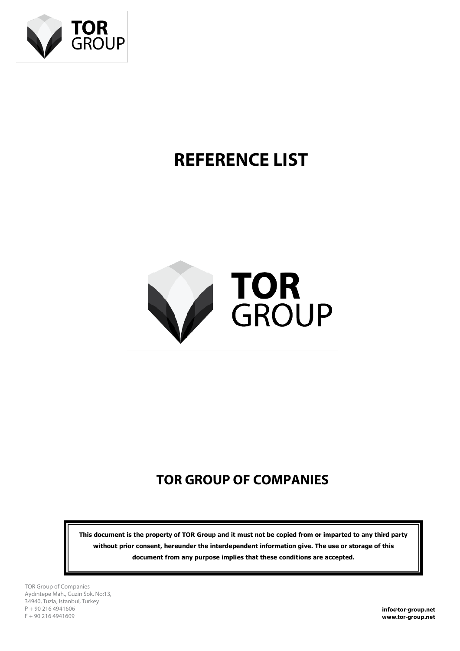

# **REFERENCE LIST**



# **TOR GROUP OF COMPANIES**

**This document is the property of TOR Group and it must not be copied from or imparted to any third party without prior consent, hereunder the interdependent information give. The use or storage of this document from any purpose implies that these conditions are accepted.**

TOR Group of Companies Aydıntepe Mah., Guzin Sok. No:13, 34940, Tuzla, Istanbul, Turkey P + 90 216 4941606 F + 90 216 4941609

**info@tor-group.net www.tor-group.net**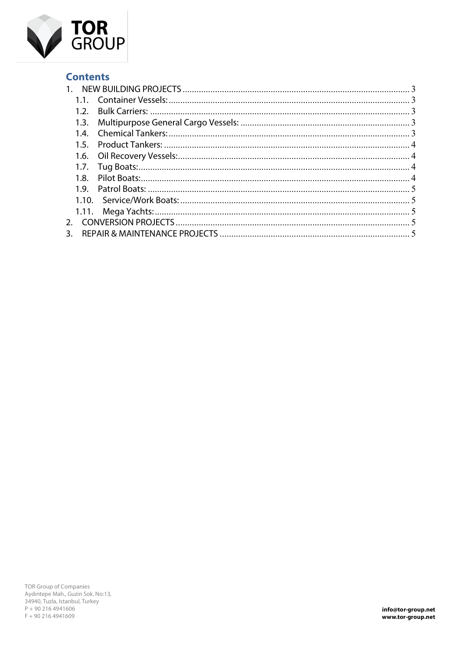

# **Contents**

|    | 1.2. |  |
|----|------|--|
|    | 1.3. |  |
|    | 1.4. |  |
|    | 1.5. |  |
|    |      |  |
|    | 1.7. |  |
|    | 1.8. |  |
|    |      |  |
|    |      |  |
|    |      |  |
|    |      |  |
| 3. |      |  |
|    |      |  |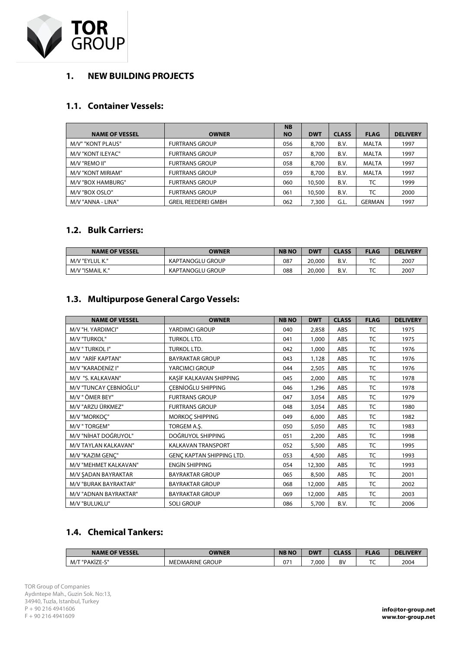

### **1. NEW BUILDING PROJECTS**

#### **1.1. Container Vessels:**

|                       |                            | <b>NB</b> |            |              |               |                 |
|-----------------------|----------------------------|-----------|------------|--------------|---------------|-----------------|
| <b>NAME OF VESSEL</b> | <b>OWNER</b>               | <b>NO</b> | <b>DWT</b> | <b>CLASS</b> | <b>FLAG</b>   | <b>DELIVERY</b> |
| M/V" "KONT PLAUS"     | <b>FURTRANS GROUP</b>      | 056       | 8,700      | B.V.         | MALTA         | 1997            |
| M/V "KONT ILEYAC"     | <b>FURTRANS GROUP</b>      | 057       | 8,700      | B.V.         | MALTA         | 1997            |
| M/V "REMO II"         | <b>FURTRANS GROUP</b>      | 058       | 8,700      | B.V.         | MALTA         | 1997            |
| M/V "KONT MIRIAM"     | <b>FURTRANS GROUP</b>      | 059       | 8,700      | B.V.         | MALTA         | 1997            |
| M/V "BOX HAMBURG"     | <b>FURTRANS GROUP</b>      | 060       | 10,500     | B.V.         | TC            | 1999            |
| M/V "BOX OSLO"        | <b>FURTRANS GROUP</b>      | 061       | 10,500     | B.V.         | TC            | 2000            |
| M/V "ANNA - LINA"     | <b>GREIL REEDEREI GMBH</b> | 062       | 7,300      | G.L.         | <b>GERMAN</b> | 1997            |

#### **1.2. Bulk Carriers:**

| <b>NAME OF VESSEL</b> | <b>OWNER</b>            | <b>NBNO</b> | <b>DWT</b> | <b>CLASS</b> | <b>FLAG</b> | <b>DELIVERY</b> |
|-----------------------|-------------------------|-------------|------------|--------------|-------------|-----------------|
| M/V "EYLUL K."        | <b>KAPTANOGLU GROUP</b> | 087         | 20,000     | B.V.         | ╰           | 2007            |
| M/V "ISMAIL K."       | <b>KAPTANOGLU GROUP</b> | 088         | 20,000     | B.V.         | ╰           | 2007            |

# **1.3. Multipurpose General Cargo Vessels:**

| <b>NAME OF VESSEL</b>  | <b>OWNER</b>              | <b>NB NO</b> | <b>DWT</b> | <b>CLASS</b> | <b>FLAG</b> | <b>DELIVERY</b> |
|------------------------|---------------------------|--------------|------------|--------------|-------------|-----------------|
| M/V "H. YARDIMCI"      | YARDIMCI GROUP            | 040          | 2,858      | ABS          | TC          | 1975            |
| M/V "TURKOL"           | TURKOL LTD.               | 041          | 1,000      | ABS          | <b>TC</b>   | 1975            |
| M/V " TURKOL I"        | TURKOL LTD.               | 042          | 1,000      | ABS          | TC          | 1976            |
| M/V "ARİF KAPTAN"      | <b>BAYRAKTAR GROUP</b>    | 043          | 1,128      | ABS          | TC          | 1976            |
| M/V "KARADENİZ I"      | YARCIMCI GROUP            | 044          | 2,505      | ABS          | TC          | 1976            |
| M/V "S. KALKAVAN"      | KAŞİF KALKAVAN SHIPPING   | 045          | 2,000      | ABS          | TC          | 1978            |
| M/V "TUNCAY ÇEBNİOĞLU" | <b>CEBNÍOĞLU SHIPPING</b> | 046          | 1,296      | ABS          | <b>TC</b>   | 1978            |
| M/V " ÖMER BEY"        | <b>FURTRANS GROUP</b>     | 047          | 3,054      | ABS          | TC          | 1979            |
| M/V "ARZU ÜRKMEZ"      | <b>FURTRANS GROUP</b>     | 048          | 3,054      | ABS          | TC          | 1980            |
| M/V "MORKOC"           | MORKOÇ SHIPPING           | 049          | 6,000      | ABS          | TC          | 1982            |
| M/V " TORGEM"          | TORGEM A.Ş.               | 050          | 5,050      | ABS          | TC          | 1983            |
| M/V "NİHAT DOĞRUYOL"   | DOĞRUYOL SHIPPING         | 051          | 2,200      | ABS          | TC          | 1998            |
| M/V TAYLAN KALKAVAN"   | <b>KALKAVAN TRANSPORT</b> | 052          | 5,500      | ABS          | TC          | 1995            |
| M/V "KAZIM GENÇ"       | GENÇ KAPTAN SHIPPING LTD. | 053          | 4,500      | ABS          | <b>TC</b>   | 1993            |
| M/V "MEHMET KALKAVAN"  | <b>ENGIN SHIPPING</b>     | 054          | 12,300     | ABS          | TC          | 1993            |
| M/V SADAN BAYRAKTAR    | <b>BAYRAKTAR GROUP</b>    | 065          | 8,500      | ABS          | TC          | 2001            |
| M/V "BURAK BAYRAKTAR"  | <b>BAYRAKTAR GROUP</b>    | 068          | 12,000     | ABS          | TC          | 2002            |
| M/V "ADNAN BAYRAKTAR"  | <b>BAYRAKTAR GROUP</b>    | 069          | 12,000     | ABS          | TC          | 2003            |
| M/V "BULUKLU"          | <b>SOLI GROUP</b>         | 086          | 5,700      | B.V.         | TC          | 2006            |

### **1.4. Chemical Tankers:**

| <b>OF VESSEL</b><br><b>NAME</b> | OWNFR<br>"NEI.                 | <b>NB</b><br><b>NO</b> | DWT   | רו מככ<br>----- | FLAG | <b>DELIVERY</b> |
|---------------------------------|--------------------------------|------------------------|-------|-----------------|------|-----------------|
| $\sim$<br>M/T<br>PAKIZE-        | <b>GROUP</b><br>EDMARINE<br>MI | $07^{\circ}$           | 7,000 | R\<br><u>.</u>  | --   | 2004            |

TOR Group of Companies Aydıntepe Mah., Guzin Sok. No:13, 34940, Tuzla, Istanbul, Turkey P + 90 216 4941606 F + 90 216 4941609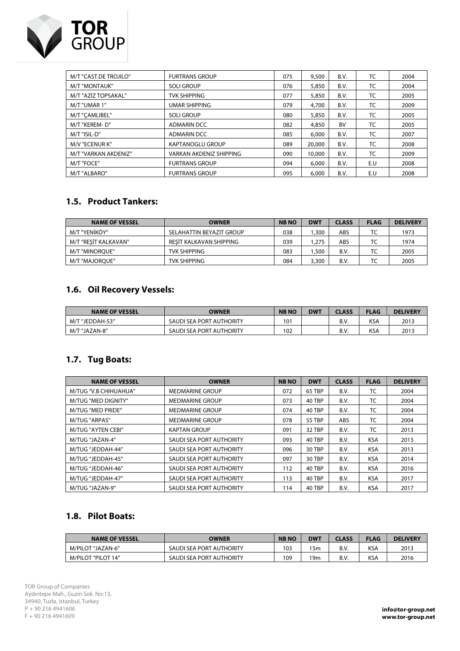

| M/T "CAST.DE TROJILO" | <b>FURTRANS GROUP</b>          | 075 | 9,500  | B.V. | TC  | 2004 |
|-----------------------|--------------------------------|-----|--------|------|-----|------|
| M/T "MONTAUK"         | <b>SOLI GROUP</b>              | 076 | 5,850  | B.V. | TC  | 2004 |
| M/T "AZİZ TOPSAKAL"   | <b>TVK SHIPPING</b>            | 077 | 5,850  | B.V. | TC  | 2005 |
| M/T "UMAR 1"          | <b>UMAR SHIPPING</b>           | 079 | 4,700  | B.V. | TC  | 2009 |
| M/T "CAMLIBEL"        | <b>SOLI GROUP</b>              | 080 | 5,850  | B.V. | TC  | 2005 |
| M/T "KEREM-D"         | <b>ADMARIN DCC</b>             | 082 | 4,850  | BV   | TC  | 2005 |
| M/T "ISIL-D"          | <b>ADMARIN DCC</b>             | 085 | 6,000  | B.V. | TC  | 2007 |
| M/V "ECENUR K"        | <b>KAPTANOGLU GROUP</b>        | 089 | 20,000 | B.V. | TC  | 2008 |
| M/T "VARKAN AKDENIZ"  | <b>VARKAN AKDENIZ SHIPPING</b> | 090 | 10,000 | B.V. | TC  | 2009 |
| M/T "FOCE"            | <b>FURTRANS GROUP</b>          | 094 | 6,000  | B.V. | E.U | 2008 |
| M/T "ALBARO"          | <b>FURTRANS GROUP</b>          | 095 | 6,000  | B.V. | E.U | 2008 |

### **1.5. Product Tankers:**

| <b>NAME OF VESSEL</b> | <b>OWNER</b>             | <b>NBNO</b> | <b>DWT</b> | <b>CLASS</b> | <b>FLAG</b> | <b>DELIVERY</b> |
|-----------------------|--------------------------|-------------|------------|--------------|-------------|-----------------|
| M/T "YENİKÖY"         | SELAHATTIN BEYAZIT GROUP | 038         | .300       | ABS          | TC          | 1973            |
| M/T "RESİT KALKAVAN"  | RESIT KALKAVAN SHIPPING  | 039         | 1.275      | ABS          | TC          | 1974            |
| M/T "MINOROUE"        | TVK SHIPPING             | 083         | 1.500      | B.V.         | ТC          | 2005            |
| M/T "MAJOROUE"        | TVK SHIPPING             | 084         | 3,300      | B.V.         | TC          | 2005            |

# **1.6. Oil Recovery Vessels:**

| <b>NAME OF VESSEL</b> | <b>OWNER</b>             | <b>NBNO</b> | DWT | <b>CLASS</b> | <b>FLAG</b> | <b>DELIVERY</b> |
|-----------------------|--------------------------|-------------|-----|--------------|-------------|-----------------|
| M/T "JEDDAH-53"       | SAUDI SEA PORT AUTHORITY | 101         |     | B.V          | KSA         | 2013            |
| M/T "JAZAN-8"         | SAUDI SEA PORT AUTHORITY | 102         |     | B.V          | KSA         | 2013            |

#### **1.7. Tug Boats:**

| <b>NAME OF VESSEL</b> | <b>OWNER</b>             | <b>NB NO</b> | <b>DWT</b> | <b>CLASS</b> | <b>FLAG</b> | <b>DELIVERY</b> |
|-----------------------|--------------------------|--------------|------------|--------------|-------------|-----------------|
| M/TUG "V.B CHIHUAHUA" | <b>MEDMARINE GROUP</b>   | 072          | 65 TBP     | B.V.         | ТC          | 2004            |
| M/TUG "MED DIGNITY"   | <b>MEDMARINE GROUP</b>   | 073          | 40 TBP     | B.V.         | ТC          | 2004            |
| M/TUG "MED PRIDE"     | <b>MEDMARINE GROUP</b>   | 074          | 40 TBP     | B.V.         | TC          | 2004            |
| M/TUG "ARPAS"         | <b>MEDMARINE GROUP</b>   | 078          | 55 TBP     | ABS          | ТC          | 2004            |
| M/TUG "AYTEN CEBI"    | <b>KAPTAN GROUP</b>      | 091          | 32 TBP     | B.V.         | TC          | 2013            |
| M/TUG "JAZAN-4"       | SAUDI SEA PORT AUTHORITY | 093          | 40 TBP     | B.V.         | <b>KSA</b>  | 2013            |
| M/TUG "JEDDAH-44"     | SAUDI SEA PORT AUTHORITY | 096          | 30 TBP     | B.V.         | <b>KSA</b>  | 2013            |
| M/TUG "JEDDAH-45"     | SAUDI SEA PORT AUTHORITY | 097          | 30 TBP     | B.V.         | <b>KSA</b>  | 2014            |
| M/TUG "JEDDAH-46"     | SAUDI SEA PORT AUTHORITY | 112          | 40 TBP     | B.V.         | <b>KSA</b>  | 2016            |
| M/TUG "JEDDAH-47"     | SAUDI SEA PORT AUTHORITY | 113          | 40 TBP     | B.V.         | <b>KSA</b>  | 2017            |
| M/TUG "JAZAN-9"       | SAUDI SEA PORT AUTHORITY | 114          | 40 TBP     | B.V.         | <b>KSA</b>  | 2017            |

# **1.8. Pilot Boats:**

| <b>NAME OF VESSEL</b> | <b>OWNER</b>             | <b>NBNO</b> | <b>DWT</b> | CLASS | <b>FLAG</b> | <b>DELIVERY</b> |
|-----------------------|--------------------------|-------------|------------|-------|-------------|-----------------|
| M/PILOT "JAZAN-6"     | SAUDI SEA PORT AUTHORITY | 103         | '5m        | B.V.  | KSA         | 2013            |
| M/PILOT "PILOT 14"    | SAUDI SEA PORT AUTHORITY | 109         | l 9m       | B.V   | KSA         | 2016            |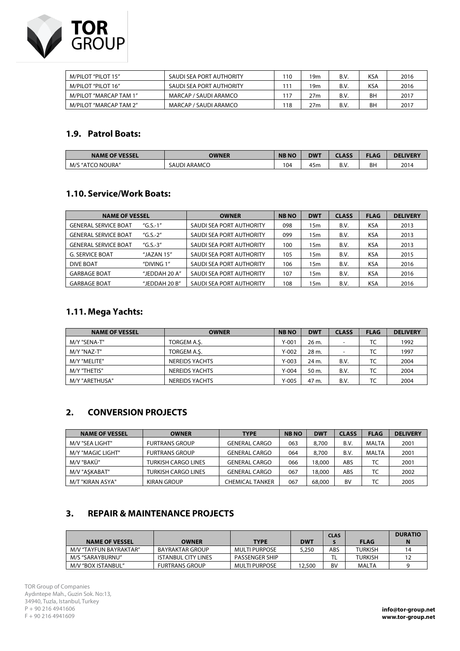

| M/PILOT "PILOT 15"     | SAUDI SEA PORT AUTHORITY | 110 | 19m | B.V. | KSA | 2016 |
|------------------------|--------------------------|-----|-----|------|-----|------|
| M/PILOT "PILOT 16"     | SAUDI SEA PORT AUTHORITY |     | 19m | B.V. | KSA | 2016 |
| M/PILOT "MARCAP TAM 1" | MARCAP / SAUDI ARAMCO    | 117 | 27m | B.V. | BН  | 2017 |
| M/PILOT "MARCAP TAM 2" | MARCAP / SAUDI ARAMCO    | 118 | 27m | B.V. | BΗ  | 2017 |

#### **1.9. Patrol Boats:**

| <b>NAME OF VESSEL</b>     | OWNER               | <b>NBNC</b> | <b>DWT</b> | ASS              | <b>FLAG</b> | <b>DELIVERY</b> |
|---------------------------|---------------------|-------------|------------|------------------|-------------|-----------------|
| J NOURA"<br>M/S<br>, "ATC | <b>SAUDI ARAMCO</b> | 104         | . .<br>45m | <b>0 N</b><br>۰. | ВH          | 2014            |

#### **1.10. Service/Work Boats:**

| <b>NAME OF VESSEL</b>                     |               | <b>OWNER</b>             | <b>NB NO</b> | <b>DWT</b> | <b>CLASS</b> | <b>FLAG</b> | <b>DELIVERY</b> |
|-------------------------------------------|---------------|--------------------------|--------------|------------|--------------|-------------|-----------------|
| <b>GENERAL SERVICE BOAT</b>               | $(G.S.-1"$    | SAUDI SEA PORT AUTHORITY | 098          | 15m        | B.V.         | <b>KSA</b>  | 2013            |
| $(G.S.-2"$<br><b>GENERAL SERVICE BOAT</b> |               | SAUDI SEA PORT AUTHORITY | 099          | 15m        | B.V.         | <b>KSA</b>  | 2013            |
| <b>GENERAL SERVICE BOAT</b>               | "G.S.-3"      | SAUDI SEA PORT AUTHORITY | 100          | 15m        | B.V.         | <b>KSA</b>  | 2013            |
| <b>G. SERVICE BOAT</b>                    | "JAZAN $15$ " | SAUDI SEA PORT AUTHORITY | 105          | 15m        | B.V.         | <b>KSA</b>  | 2015            |
| <b>DIVE BOAT</b>                          | "DIVING 1"    | SAUDI SEA PORT AUTHORITY | 106          | 15m        | B.V.         | <b>KSA</b>  | 2016            |
| <b>GARBAGE BOAT</b>                       | "JEDDAH 20 A" | SAUDI SEA PORT AUTHORITY | 107          | 15m        | B.V.         | <b>KSA</b>  | 2016            |
| <b>GARBAGE BOAT</b>                       | "JEDDAH 20 B" | SAUDI SEA PORT AUTHORITY | 108          | 15m        | B.V.         | <b>KSA</b>  | 2016            |

# **1.11. Mega Yachts:**

| <b>NAME OF VESSEL</b> | <b>OWNER</b>          | <b>NBNO</b> | <b>DWT</b> | <b>CLASS</b> | <b>FLAG</b> | <b>DELIVERY</b> |
|-----------------------|-----------------------|-------------|------------|--------------|-------------|-----------------|
| M/Y "SENA-T"          | TORGEM A.S.           | $Y - 001$   | 26 m.      | -            | TC          | 1992            |
| M/Y "NAZ-T"           | TORGEM A.S.           | $Y-002$     | 28 m.      | -            | TC          | 1997            |
| M/Y "MELITE"          | <b>NEREIDS YACHTS</b> | $Y-003$     | 24 m.      | B.V.         | TC          | 2004            |
| M/Y "THETIS"          | NEREIDS YACHTS        | Y-004       | 50 m.      | B.V.         | TC          | 2004            |
| M/Y "ARETHUSA"        | NEREIDS YACHTS        | $Y-005$     | 47 m.      | B.V.         | TC          | 2004            |

#### **2. CONVERSION PROJECTS**

| <b>NAME OF VESSEL</b> | <b>OWNER</b>               | <b>TYPE</b>          | <b>NBNO</b> | <b>DWT</b> | <b>CLASS</b> | <b>FLAG</b> | <b>DELIVERY</b> |
|-----------------------|----------------------------|----------------------|-------------|------------|--------------|-------------|-----------------|
| M/V "SEA LIGHT"       | <b>FURTRANS GROUP</b>      | <b>GENERAL CARGO</b> | 063         | 8,700      | B.V.         | MALTA       | 2001            |
| M/Y "MAGIC LIGHT"     | <b>FURTRANS GROUP</b>      | <b>GENERAL CARGO</b> | 064         | 8,700      | B.V.         | MALTA       | 2001            |
| M/V "BAKÜ"            | <b>TURKISH CARGO LINES</b> | <b>GENERAL CARGO</b> | 066         | 18,000     | ABS          | TC          | 2001            |
| M/V "ASKABAT"         | <b>TURKISH CARGO LINES</b> | <b>GENERAL CARGO</b> | 067         | 18,000     | ABS          | TC          | 2002            |
| M/T "KIRAN ASYA"      | KIRAN GROUP                | CHEMICAL TANKER      | 067         | 68,000     | <b>BV</b>    | TC          | 2005            |

#### **3. REPAIR & MAINTENANCE PROJECTS**

| <b>NAME OF VESSEL</b>  | <b>OWNER</b>           | <b>TYPE</b>           | <b>DWT</b> | <b>CLAS</b> | <b>FLAG</b>    | <b>DURATIO</b> |
|------------------------|------------------------|-----------------------|------------|-------------|----------------|----------------|
| M/V "TAYFUN BAYRAKTAR" | <b>BAYRAKTAR GROUP</b> | MULTI PURPOSE         | 5.250      | ABS         | <b>TURKISH</b> |                |
| M/S "SARAYBURNU"       | ISTANBUL CITY LINES    | <b>PASSENGER SHIP</b> |            |             | <b>TURKISH</b> |                |
| M/V "BOX ISTANBUL"     | <b>FURTRANS GROUP</b>  | <b>MULTI PURPOSE</b>  | 12,500     | BV          | MALTA          |                |